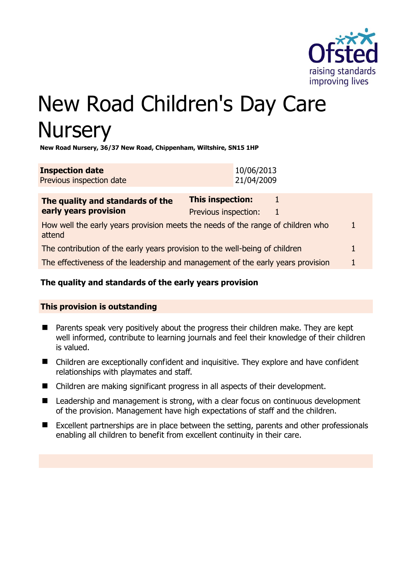

# New Road Children's Day Care **Nursery**

**New Road Nursery, 36/37 New Road, Chippenham, Wiltshire, SN15 1HP** 

| <b>Inspection date</b>   | 10/06/2013 |
|--------------------------|------------|
| Previous inspection date | 21/04/2009 |

| The quality and standards of the<br>early years provision                                 | <b>This inspection:</b> |   |   |
|-------------------------------------------------------------------------------------------|-------------------------|---|---|
|                                                                                           | Previous inspection:    | 1 |   |
| How well the early years provision meets the needs of the range of children who<br>attend |                         |   | 1 |
| The contribution of the early years provision to the well-being of children               |                         |   |   |
| The effectiveness of the leadership and management of the early years provision           |                         |   |   |
|                                                                                           |                         |   |   |

# **The quality and standards of the early years provision**

# **This provision is outstanding**

- **Parents speak very positively about the progress their children make. They are kept** well informed, contribute to learning journals and feel their knowledge of their children is valued.
- Children are exceptionally confident and inquisitive. They explore and have confident relationships with playmates and staff.
- Children are making significant progress in all aspects of their development.
- Leadership and management is strong, with a clear focus on continuous development of the provision. Management have high expectations of staff and the children.
- Excellent partnerships are in place between the setting, parents and other professionals enabling all children to benefit from excellent continuity in their care.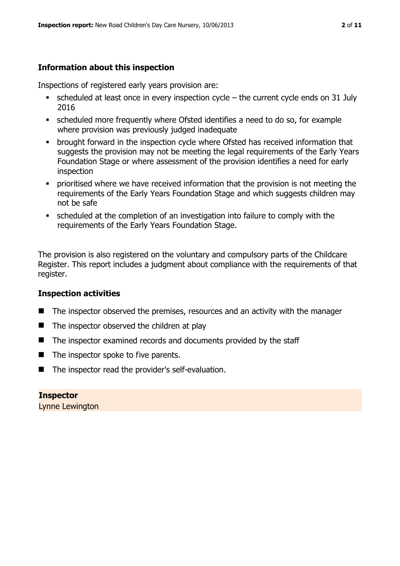# **Information about this inspection**

Inspections of registered early years provision are:

- scheduled at least once in every inspection cycle the current cycle ends on 31 July 2016
- scheduled more frequently where Ofsted identifies a need to do so, for example where provision was previously judged inadequate
- **•** brought forward in the inspection cycle where Ofsted has received information that suggests the provision may not be meeting the legal requirements of the Early Years Foundation Stage or where assessment of the provision identifies a need for early inspection
- **•** prioritised where we have received information that the provision is not meeting the requirements of the Early Years Foundation Stage and which suggests children may not be safe
- scheduled at the completion of an investigation into failure to comply with the requirements of the Early Years Foundation Stage.

The provision is also registered on the voluntary and compulsory parts of the Childcare Register. This report includes a judgment about compliance with the requirements of that register.

# **Inspection activities**

- The inspector observed the premises, resources and an activity with the manager
- $\blacksquare$  The inspector observed the children at play
- The inspector examined records and documents provided by the staff
- $\blacksquare$  The inspector spoke to five parents.
- The inspector read the provider's self-evaluation.

**Inspector**  Lynne Lewington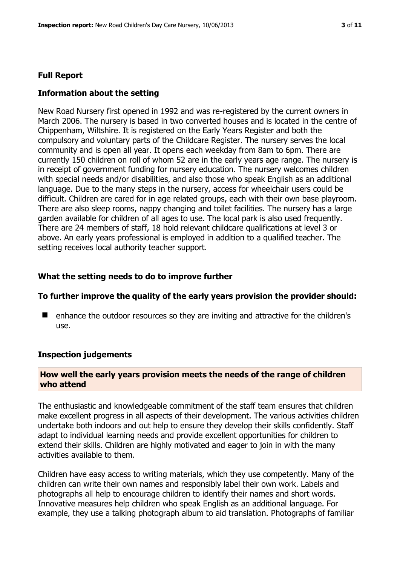#### **Full Report**

#### **Information about the setting**

New Road Nursery first opened in 1992 and was re-registered by the current owners in March 2006. The nursery is based in two converted houses and is located in the centre of Chippenham, Wiltshire. It is registered on the Early Years Register and both the compulsory and voluntary parts of the Childcare Register. The nursery serves the local community and is open all year. It opens each weekday from 8am to 6pm. There are currently 150 children on roll of whom 52 are in the early years age range. The nursery is in receipt of government funding for nursery education. The nursery welcomes children with special needs and/or disabilities, and also those who speak English as an additional language. Due to the many steps in the nursery, access for wheelchair users could be difficult. Children are cared for in age related groups, each with their own base playroom. There are also sleep rooms, nappy changing and toilet facilities. The nursery has a large garden available for children of all ages to use. The local park is also used frequently. There are 24 members of staff, 18 hold relevant childcare qualifications at level 3 or above. An early years professional is employed in addition to a qualified teacher. The setting receives local authority teacher support.

#### **What the setting needs to do to improve further**

#### **To further improve the quality of the early years provision the provider should:**

■ enhance the outdoor resources so they are inviting and attractive for the children's use.

#### **Inspection judgements**

#### **How well the early years provision meets the needs of the range of children who attend**

The enthusiastic and knowledgeable commitment of the staff team ensures that children make excellent progress in all aspects of their development. The various activities children undertake both indoors and out help to ensure they develop their skills confidently. Staff adapt to individual learning needs and provide excellent opportunities for children to extend their skills. Children are highly motivated and eager to join in with the many activities available to them.

Children have easy access to writing materials, which they use competently. Many of the children can write their own names and responsibly label their own work. Labels and photographs all help to encourage children to identify their names and short words. Innovative measures help children who speak English as an additional language. For example, they use a talking photograph album to aid translation. Photographs of familiar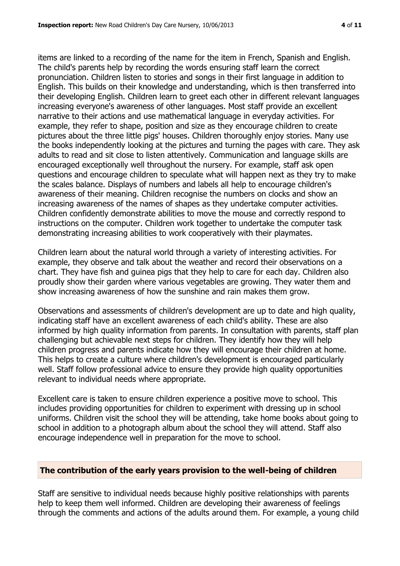items are linked to a recording of the name for the item in French, Spanish and English. The child's parents help by recording the words ensuring staff learn the correct pronunciation. Children listen to stories and songs in their first language in addition to English. This builds on their knowledge and understanding, which is then transferred into their developing English. Children learn to greet each other in different relevant languages increasing everyone's awareness of other languages. Most staff provide an excellent narrative to their actions and use mathematical language in everyday activities. For example, they refer to shape, position and size as they encourage children to create pictures about the three little pigs' houses. Children thoroughly enjoy stories. Many use the books independently looking at the pictures and turning the pages with care. They ask adults to read and sit close to listen attentively. Communication and language skills are encouraged exceptionally well throughout the nursery. For example, staff ask open questions and encourage children to speculate what will happen next as they try to make the scales balance. Displays of numbers and labels all help to encourage children's awareness of their meaning. Children recognise the numbers on clocks and show an increasing awareness of the names of shapes as they undertake computer activities. Children confidently demonstrate abilities to move the mouse and correctly respond to instructions on the computer. Children work together to undertake the computer task demonstrating increasing abilities to work cooperatively with their playmates.

Children learn about the natural world through a variety of interesting activities. For example, they observe and talk about the weather and record their observations on a chart. They have fish and guinea pigs that they help to care for each day. Children also proudly show their garden where various vegetables are growing. They water them and show increasing awareness of how the sunshine and rain makes them grow.

Observations and assessments of children's development are up to date and high quality, indicating staff have an excellent awareness of each child's ability. These are also informed by high quality information from parents. In consultation with parents, staff plan challenging but achievable next steps for children. They identify how they will help children progress and parents indicate how they will encourage their children at home. This helps to create a culture where children's development is encouraged particularly well. Staff follow professional advice to ensure they provide high quality opportunities relevant to individual needs where appropriate.

Excellent care is taken to ensure children experience a positive move to school. This includes providing opportunities for children to experiment with dressing up in school uniforms. Children visit the school they will be attending, take home books about going to school in addition to a photograph album about the school they will attend. Staff also encourage independence well in preparation for the move to school.

# **The contribution of the early years provision to the well-being of children**

Staff are sensitive to individual needs because highly positive relationships with parents help to keep them well informed. Children are developing their awareness of feelings through the comments and actions of the adults around them. For example, a young child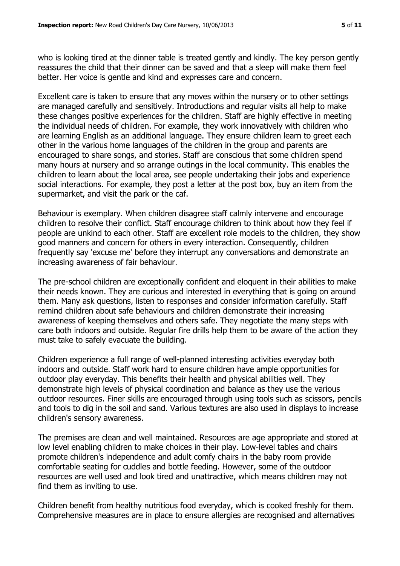who is looking tired at the dinner table is treated gently and kindly. The key person gently reassures the child that their dinner can be saved and that a sleep will make them feel better. Her voice is gentle and kind and expresses care and concern.

Excellent care is taken to ensure that any moves within the nursery or to other settings are managed carefully and sensitively. Introductions and regular visits all help to make these changes positive experiences for the children. Staff are highly effective in meeting the individual needs of children. For example, they work innovatively with children who are learning English as an additional language. They ensure children learn to greet each other in the various home languages of the children in the group and parents are encouraged to share songs, and stories. Staff are conscious that some children spend many hours at nursery and so arrange outings in the local community. This enables the children to learn about the local area, see people undertaking their jobs and experience social interactions. For example, they post a letter at the post box, buy an item from the supermarket, and visit the park or the caf.

Behaviour is exemplary. When children disagree staff calmly intervene and encourage children to resolve their conflict. Staff encourage children to think about how they feel if people are unkind to each other. Staff are excellent role models to the children, they show good manners and concern for others in every interaction. Consequently, children frequently say 'excuse me' before they interrupt any conversations and demonstrate an increasing awareness of fair behaviour.

The pre-school children are exceptionally confident and eloquent in their abilities to make their needs known. They are curious and interested in everything that is going on around them. Many ask questions, listen to responses and consider information carefully. Staff remind children about safe behaviours and children demonstrate their increasing awareness of keeping themselves and others safe. They negotiate the many steps with care both indoors and outside. Regular fire drills help them to be aware of the action they must take to safely evacuate the building.

Children experience a full range of well-planned interesting activities everyday both indoors and outside. Staff work hard to ensure children have ample opportunities for outdoor play everyday. This benefits their health and physical abilities well. They demonstrate high levels of physical coordination and balance as they use the various outdoor resources. Finer skills are encouraged through using tools such as scissors, pencils and tools to dig in the soil and sand. Various textures are also used in displays to increase children's sensory awareness.

The premises are clean and well maintained. Resources are age appropriate and stored at low level enabling children to make choices in their play. Low-level tables and chairs promote children's independence and adult comfy chairs in the baby room provide comfortable seating for cuddles and bottle feeding. However, some of the outdoor resources are well used and look tired and unattractive, which means children may not find them as inviting to use.

Children benefit from healthy nutritious food everyday, which is cooked freshly for them. Comprehensive measures are in place to ensure allergies are recognised and alternatives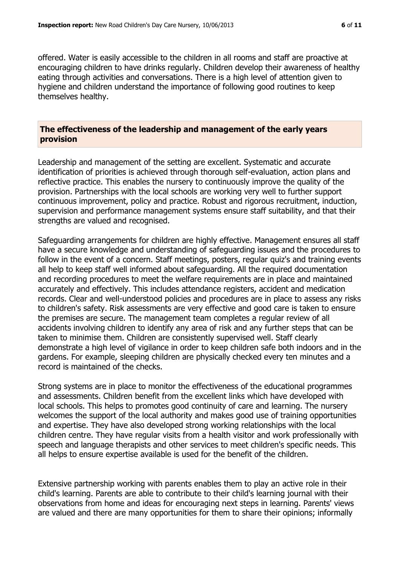offered. Water is easily accessible to the children in all rooms and staff are proactive at encouraging children to have drinks regularly. Children develop their awareness of healthy eating through activities and conversations. There is a high level of attention given to hygiene and children understand the importance of following good routines to keep themselves healthy.

#### **The effectiveness of the leadership and management of the early years provision**

Leadership and management of the setting are excellent. Systematic and accurate identification of priorities is achieved through thorough self-evaluation, action plans and reflective practice. This enables the nursery to continuously improve the quality of the provision. Partnerships with the local schools are working very well to further support continuous improvement, policy and practice. Robust and rigorous recruitment, induction, supervision and performance management systems ensure staff suitability, and that their strengths are valued and recognised.

Safeguarding arrangements for children are highly effective. Management ensures all staff have a secure knowledge and understanding of safeguarding issues and the procedures to follow in the event of a concern. Staff meetings, posters, regular quiz's and training events all help to keep staff well informed about safeguarding. All the required documentation and recording procedures to meet the welfare requirements are in place and maintained accurately and effectively. This includes attendance registers, accident and medication records. Clear and well-understood policies and procedures are in place to assess any risks to children's safety. Risk assessments are very effective and good care is taken to ensure the premises are secure. The management team completes a regular review of all accidents involving children to identify any area of risk and any further steps that can be taken to minimise them. Children are consistently supervised well. Staff clearly demonstrate a high level of vigilance in order to keep children safe both indoors and in the gardens. For example, sleeping children are physically checked every ten minutes and a record is maintained of the checks.

Strong systems are in place to monitor the effectiveness of the educational programmes and assessments. Children benefit from the excellent links which have developed with local schools. This helps to promotes good continuity of care and learning. The nursery welcomes the support of the local authority and makes good use of training opportunities and expertise. They have also developed strong working relationships with the local children centre. They have regular visits from a health visitor and work professionally with speech and language therapists and other services to meet children's specific needs. This all helps to ensure expertise available is used for the benefit of the children.

Extensive partnership working with parents enables them to play an active role in their child's learning. Parents are able to contribute to their child's learning journal with their observations from home and ideas for encouraging next steps in learning. Parents' views are valued and there are many opportunities for them to share their opinions; informally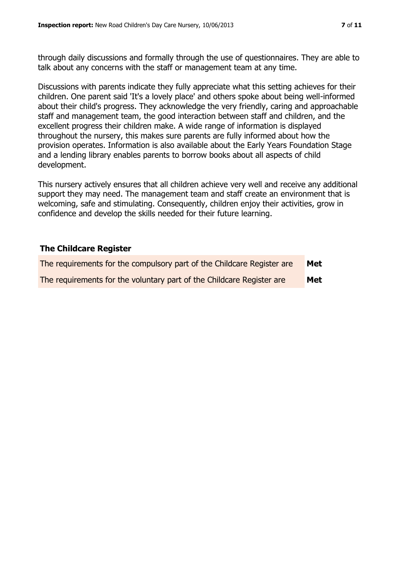through daily discussions and formally through the use of questionnaires. They are able to talk about any concerns with the staff or management team at any time.

Discussions with parents indicate they fully appreciate what this setting achieves for their children. One parent said 'It's a lovely place' and others spoke about being well-informed about their child's progress. They acknowledge the very friendly, caring and approachable staff and management team, the good interaction between staff and children, and the excellent progress their children make. A wide range of information is displayed throughout the nursery, this makes sure parents are fully informed about how the provision operates. Information is also available about the Early Years Foundation Stage and a lending library enables parents to borrow books about all aspects of child development.

This nursery actively ensures that all children achieve very well and receive any additional support they may need. The management team and staff create an environment that is welcoming, safe and stimulating. Consequently, children enjoy their activities, grow in confidence and develop the skills needed for their future learning.

#### **The Childcare Register**

| The requirements for the compulsory part of the Childcare Register are | Met |
|------------------------------------------------------------------------|-----|
| The requirements for the voluntary part of the Childcare Register are  | Met |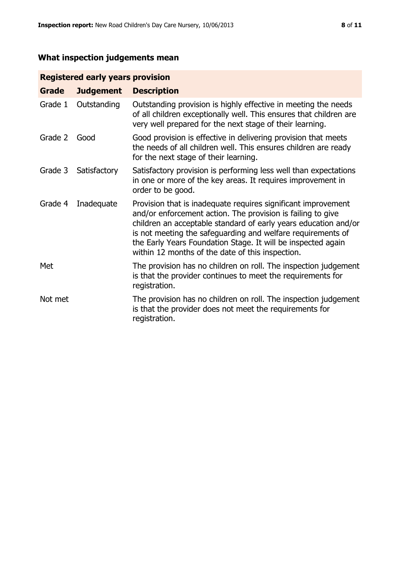# **What inspection judgements mean**

# **Registered early years provision**

| Grade   | <b>Judgement</b> | <b>Description</b>                                                                                                                                                                                                                                                                                                                                                                 |
|---------|------------------|------------------------------------------------------------------------------------------------------------------------------------------------------------------------------------------------------------------------------------------------------------------------------------------------------------------------------------------------------------------------------------|
| Grade 1 | Outstanding      | Outstanding provision is highly effective in meeting the needs<br>of all children exceptionally well. This ensures that children are<br>very well prepared for the next stage of their learning.                                                                                                                                                                                   |
| Grade 2 | Good             | Good provision is effective in delivering provision that meets<br>the needs of all children well. This ensures children are ready<br>for the next stage of their learning.                                                                                                                                                                                                         |
| Grade 3 | Satisfactory     | Satisfactory provision is performing less well than expectations<br>in one or more of the key areas. It requires improvement in<br>order to be good.                                                                                                                                                                                                                               |
| Grade 4 | Inadequate       | Provision that is inadequate requires significant improvement<br>and/or enforcement action. The provision is failing to give<br>children an acceptable standard of early years education and/or<br>is not meeting the safeguarding and welfare requirements of<br>the Early Years Foundation Stage. It will be inspected again<br>within 12 months of the date of this inspection. |
| Met     |                  | The provision has no children on roll. The inspection judgement<br>is that the provider continues to meet the requirements for<br>registration.                                                                                                                                                                                                                                    |
| Not met |                  | The provision has no children on roll. The inspection judgement<br>is that the provider does not meet the requirements for<br>registration.                                                                                                                                                                                                                                        |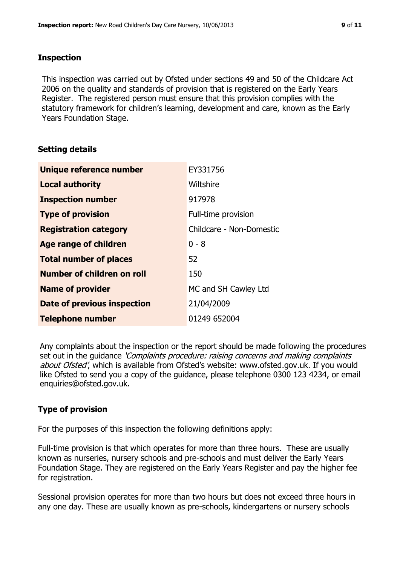#### **Inspection**

This inspection was carried out by Ofsted under sections 49 and 50 of the Childcare Act 2006 on the quality and standards of provision that is registered on the Early Years Register. The registered person must ensure that this provision complies with the statutory framework for children's learning, development and care, known as the Early Years Foundation Stage.

# **Setting details**

| Unique reference number       | EY331756                 |
|-------------------------------|--------------------------|
| <b>Local authority</b>        | Wiltshire                |
| <b>Inspection number</b>      | 917978                   |
| <b>Type of provision</b>      | Full-time provision      |
| <b>Registration category</b>  | Childcare - Non-Domestic |
| <b>Age range of children</b>  | $0 - 8$                  |
| <b>Total number of places</b> | 52                       |
| Number of children on roll    | 150                      |
| <b>Name of provider</b>       | MC and SH Cawley Ltd     |
| Date of previous inspection   | 21/04/2009               |
| <b>Telephone number</b>       | 01249 652004             |

Any complaints about the inspection or the report should be made following the procedures set out in the guidance *'Complaints procedure: raising concerns and making complaints* about Ofsted', which is available from Ofsted's website: www.ofsted.gov.uk. If you would like Ofsted to send you a copy of the guidance, please telephone 0300 123 4234, or email enquiries@ofsted.gov.uk.

# **Type of provision**

For the purposes of this inspection the following definitions apply:

Full-time provision is that which operates for more than three hours. These are usually known as nurseries, nursery schools and pre-schools and must deliver the Early Years Foundation Stage. They are registered on the Early Years Register and pay the higher fee for registration.

Sessional provision operates for more than two hours but does not exceed three hours in any one day. These are usually known as pre-schools, kindergartens or nursery schools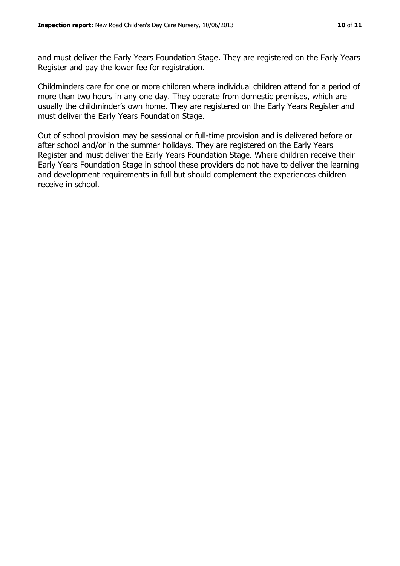and must deliver the Early Years Foundation Stage. They are registered on the Early Years Register and pay the lower fee for registration.

Childminders care for one or more children where individual children attend for a period of more than two hours in any one day. They operate from domestic premises, which are usually the childminder's own home. They are registered on the Early Years Register and must deliver the Early Years Foundation Stage.

Out of school provision may be sessional or full-time provision and is delivered before or after school and/or in the summer holidays. They are registered on the Early Years Register and must deliver the Early Years Foundation Stage. Where children receive their Early Years Foundation Stage in school these providers do not have to deliver the learning and development requirements in full but should complement the experiences children receive in school.